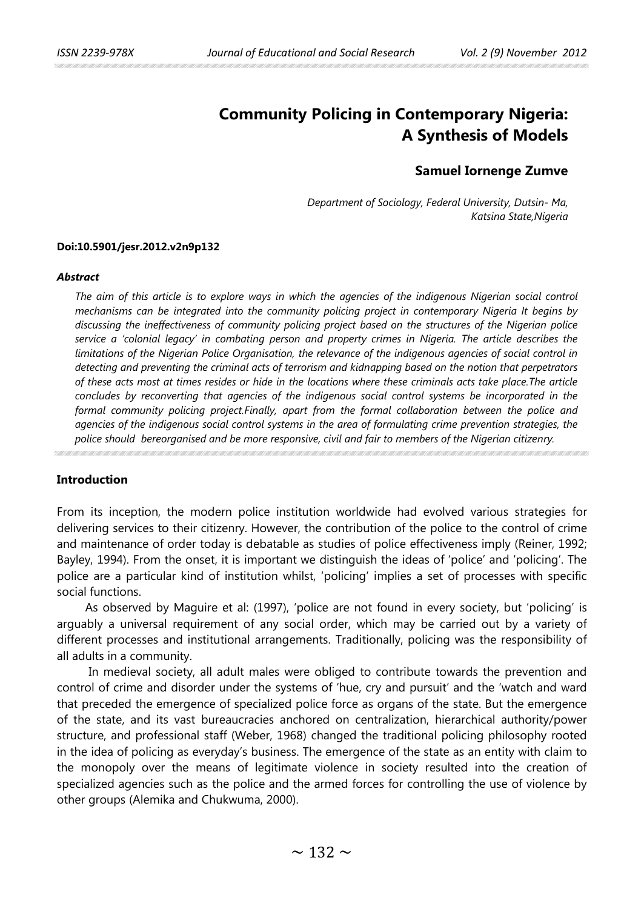# **Community Policing in Contemporary Nigeria: A Synthesis of Models**

# **Samuel Iornenge Zumve**

*Department of Sociology, Federal University, Dutsin- Ma, Katsina State,Nigeria*

### **Doi:10.5901/jesr.2012.v2n9p132**

#### *Abstract*

*The aim of this article is to explore ways in which the agencies of the indigenous Nigerian social control mechanisms can be integrated into the community policing project in contemporary Nigeria It begins by discussing the ineffectiveness of community policing project based on the structures of the Nigerian police service a 'colonial legacy' in combating person and property crimes in Nigeria. The article describes the limitations of the Nigerian Police Organisation, the relevance of the indigenous agencies of social control in detecting and preventing the criminal acts of terrorism and kidnapping based on the notion that perpetrators of these acts most at times resides or hide in the locations where these criminals acts take place.The article concludes by reconverting that agencies of the indigenous social control systems be incorporated in the formal community policing project.Finally, apart from the formal collaboration between the police and agencies of the indigenous social control systems in the area of formulating crime prevention strategies, the police should bereorganised and be more responsive, civil and fair to members of the Nigerian citizenry.*

# **Introduction**

From its inception, the modern police institution worldwide had evolved various strategies for delivering services to their citizenry. However, the contribution of the police to the control of crime and maintenance of order today is debatable as studies of police effectiveness imply (Reiner, 1992; Bayley, 1994). From the onset, it is important we distinguish the ideas of 'police' and 'policing'. The police are a particular kind of institution whilst, 'policing' implies a set of processes with specific social functions.

As observed by Maguire et al: (1997), 'police are not found in every society, but 'policing' is arguably a universal requirement of any social order, which may be carried out by a variety of different processes and institutional arrangements. Traditionally, policing was the responsibility of all adults in a community.

In medieval society, all adult males were obliged to contribute towards the prevention and control of crime and disorder under the systems of 'hue, cry and pursuit' and the 'watch and ward that preceded the emergence of specialized police force as organs of the state. But the emergence of the state, and its vast bureaucracies anchored on centralization, hierarchical authority/power structure, and professional staff (Weber, 1968) changed the traditional policing philosophy rooted in the idea of policing as everyday's business. The emergence of the state as an entity with claim to the monopoly over the means of legitimate violence in society resulted into the creation of specialized agencies such as the police and the armed forces for controlling the use of violence by other groups (Alemika and Chukwuma, 2000).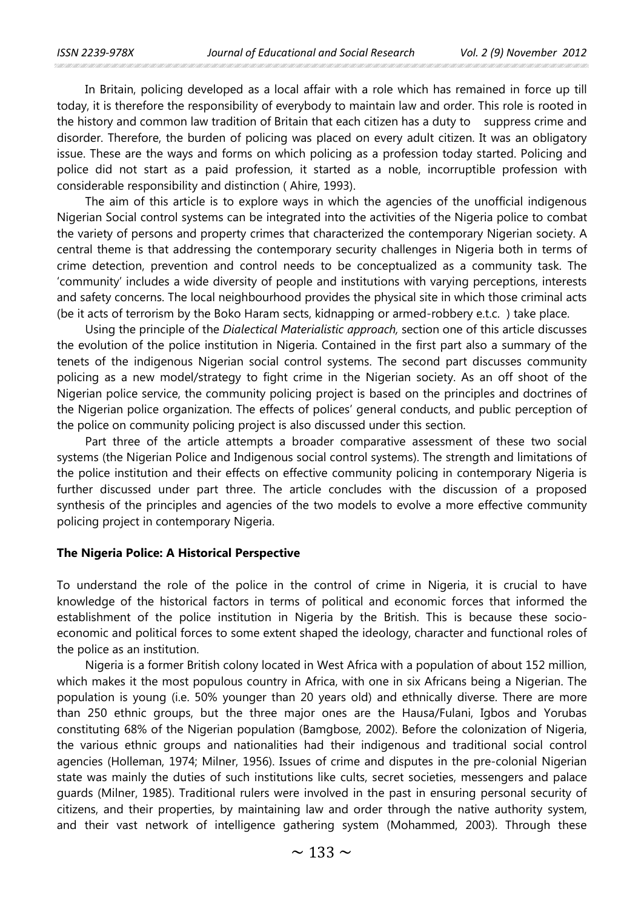In Britain, policing developed as a local affair with a role which has remained in force up till today, it is therefore the responsibility of everybody to maintain law and order. This role is rooted in the history and common law tradition of Britain that each citizen has a duty to suppress crime and disorder. Therefore, the burden of policing was placed on every adult citizen. It was an obligatory issue. These are the ways and forms on which policing as a profession today started. Policing and police did not start as a paid profession, it started as a noble, incorruptible profession with considerable responsibility and distinction ( Ahire, 1993).

The aim of this article is to explore ways in which the agencies of the unofficial indigenous Nigerian Social control systems can be integrated into the activities of the Nigeria police to combat the variety of persons and property crimes that characterized the contemporary Nigerian society. A central theme is that addressing the contemporary security challenges in Nigeria both in terms of crime detection, prevention and control needs to be conceptualized as a community task. The 'community' includes a wide diversity of people and institutions with varying perceptions, interests and safety concerns. The local neighbourhood provides the physical site in which those criminal acts (be it acts of terrorism by the Boko Haram sects, kidnapping or armed-robbery e.t.c. ) take place.

Using the principle of the *Dialectical Materialistic approach,* section one of this article discusses the evolution of the police institution in Nigeria. Contained in the first part also a summary of the tenets of the indigenous Nigerian social control systems. The second part discusses community policing as a new model/strategy to fight crime in the Nigerian society. As an off shoot of the Nigerian police service, the community policing project is based on the principles and doctrines of the Nigerian police organization. The effects of polices' general conducts, and public perception of the police on community policing project is also discussed under this section.

Part three of the article attempts a broader comparative assessment of these two social systems (the Nigerian Police and Indigenous social control systems). The strength and limitations of the police institution and their effects on effective community policing in contemporary Nigeria is further discussed under part three. The article concludes with the discussion of a proposed synthesis of the principles and agencies of the two models to evolve a more effective community policing project in contemporary Nigeria.

#### **The Nigeria Police: A Historical Perspective**

To understand the role of the police in the control of crime in Nigeria, it is crucial to have knowledge of the historical factors in terms of political and economic forces that informed the establishment of the police institution in Nigeria by the British. This is because these socioeconomic and political forces to some extent shaped the ideology, character and functional roles of the police as an institution.

Nigeria is a former British colony located in West Africa with a population of about 152 million, which makes it the most populous country in Africa, with one in six Africans being a Nigerian. The population is young (i.e. 50% younger than 20 years old) and ethnically diverse. There are more than 250 ethnic groups, but the three major ones are the Hausa/Fulani, Igbos and Yorubas constituting 68% of the Nigerian population (Bamgbose, 2002). Before the colonization of Nigeria, the various ethnic groups and nationalities had their indigenous and traditional social control agencies (Holleman, 1974; Milner, 1956). Issues of crime and disputes in the pre-colonial Nigerian state was mainly the duties of such institutions like cults, secret societies, messengers and palace guards (Milner, 1985). Traditional rulers were involved in the past in ensuring personal security of citizens, and their properties, by maintaining law and order through the native authority system, and their vast network of intelligence gathering system (Mohammed, 2003). Through these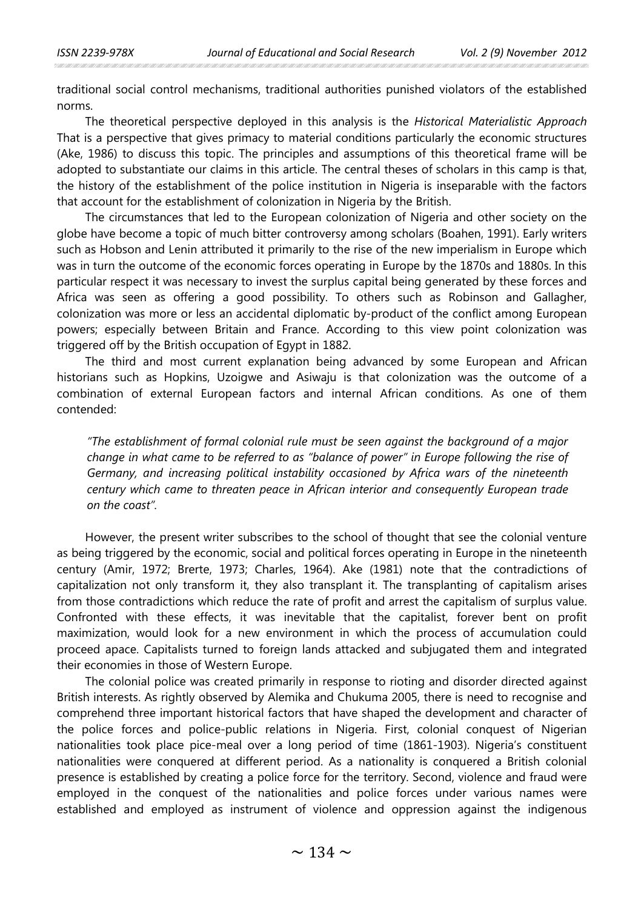traditional social control mechanisms, traditional authorities punished violators of the established norms.

The theoretical perspective deployed in this analysis is the *Historical Materialistic Approach* That is a perspective that gives primacy to material conditions particularly the economic structures (Ake, 1986) to discuss this topic. The principles and assumptions of this theoretical frame will be adopted to substantiate our claims in this article. The central theses of scholars in this camp is that, the history of the establishment of the police institution in Nigeria is inseparable with the factors that account for the establishment of colonization in Nigeria by the British.

The circumstances that led to the European colonization of Nigeria and other society on the globe have become a topic of much bitter controversy among scholars (Boahen, 1991). Early writers such as Hobson and Lenin attributed it primarily to the rise of the new imperialism in Europe which was in turn the outcome of the economic forces operating in Europe by the 1870s and 1880s. In this particular respect it was necessary to invest the surplus capital being generated by these forces and Africa was seen as offering a good possibility. To others such as Robinson and Gallagher, colonization was more or less an accidental diplomatic by-product of the conflict among European powers; especially between Britain and France. According to this view point colonization was triggered off by the British occupation of Egypt in 1882.

The third and most current explanation being advanced by some European and African historians such as Hopkins, Uzoigwe and Asiwaju is that colonization was the outcome of a combination of external European factors and internal African conditions. As one of them contended:

*"The establishment of formal colonial rule must be seen against the background of a major change in what came to be referred to as "balance of power" in Europe following the rise of Germany, and increasing political instability occasioned by Africa wars of the nineteenth century which came to threaten peace in African interior and consequently European trade on the coast".*

However, the present writer subscribes to the school of thought that see the colonial venture as being triggered by the economic, social and political forces operating in Europe in the nineteenth century (Amir, 1972; Brerte, 1973; Charles, 1964). Ake (1981) note that the contradictions of capitalization not only transform it, they also transplant it. The transplanting of capitalism arises from those contradictions which reduce the rate of profit and arrest the capitalism of surplus value. Confronted with these effects, it was inevitable that the capitalist, forever bent on profit maximization, would look for a new environment in which the process of accumulation could proceed apace. Capitalists turned to foreign lands attacked and subjugated them and integrated their economies in those of Western Europe.

The colonial police was created primarily in response to rioting and disorder directed against British interests. As rightly observed by Alemika and Chukuma 2005, there is need to recognise and comprehend three important historical factors that have shaped the development and character of the police forces and police-public relations in Nigeria. First, colonial conquest of Nigerian nationalities took place pice-meal over a long period of time (1861-1903). Nigeria's constituent nationalities were conquered at different period. As a nationality is conquered a British colonial presence is established by creating a police force for the territory. Second, violence and fraud were employed in the conquest of the nationalities and police forces under various names were established and employed as instrument of violence and oppression against the indigenous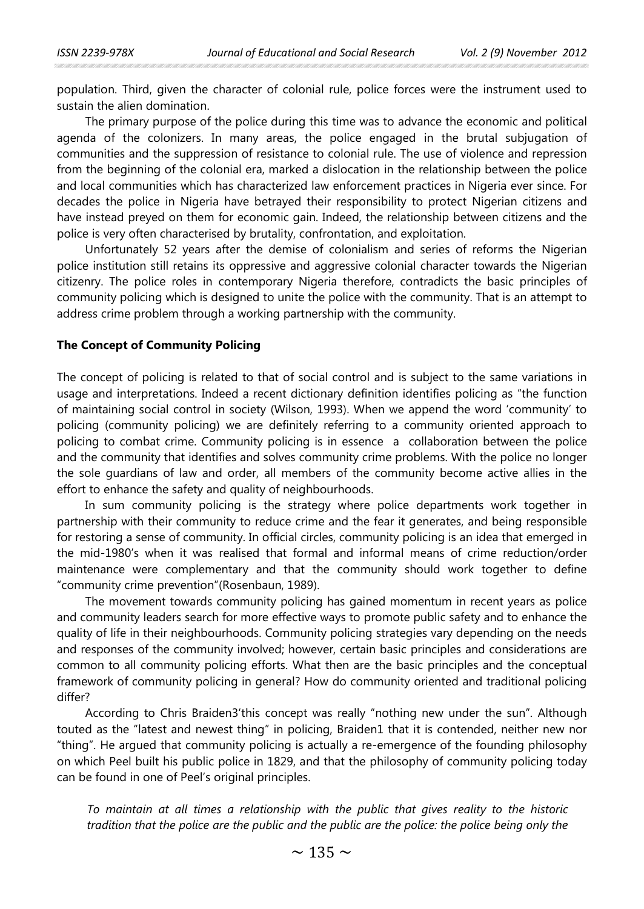population. Third, given the character of colonial rule, police forces were the instrument used to sustain the alien domination.

The primary purpose of the police during this time was to advance the economic and political agenda of the colonizers. In many areas, the police engaged in the brutal subjugation of communities and the suppression of resistance to colonial rule. The use of violence and repression from the beginning of the colonial era, marked a dislocation in the relationship between the police and local communities which has characterized law enforcement practices in Nigeria ever since. For decades the police in Nigeria have betrayed their responsibility to protect Nigerian citizens and have instead preyed on them for economic gain. Indeed, the relationship between citizens and the police is very often characterised by brutality, confrontation, and exploitation.

Unfortunately 52 years after the demise of colonialism and series of reforms the Nigerian police institution still retains its oppressive and aggressive colonial character towards the Nigerian citizenry. The police roles in contemporary Nigeria therefore, contradicts the basic principles of community policing which is designed to unite the police with the community. That is an attempt to address crime problem through a working partnership with the community.

### **The Concept of Community Policing**

The concept of policing is related to that of social control and is subject to the same variations in usage and interpretations. Indeed a recent dictionary definition identifies policing as "the function of maintaining social control in society (Wilson, 1993). When we append the word 'community' to policing (community policing) we are definitely referring to a community oriented approach to policing to combat crime. Community policing is in essence a collaboration between the police and the community that identifies and solves community crime problems. With the police no longer the sole guardians of law and order, all members of the community become active allies in the effort to enhance the safety and quality of neighbourhoods.

In sum community policing is the strategy where police departments work together in partnership with their community to reduce crime and the fear it generates, and being responsible for restoring a sense of community. In official circles, community policing is an idea that emerged in the mid-1980's when it was realised that formal and informal means of crime reduction/order maintenance were complementary and that the community should work together to define "community crime prevention"(Rosenbaun, 1989).

The movement towards community policing has gained momentum in recent years as police and community leaders search for more effective ways to promote public safety and to enhance the quality of life in their neighbourhoods. Community policing strategies vary depending on the needs and responses of the community involved; however, certain basic principles and considerations are common to all community policing efforts. What then are the basic principles and the conceptual framework of community policing in general? How do community oriented and traditional policing differ?

According to Chris Braiden3'this concept was really "nothing new under the sun". Although touted as the "latest and newest thing" in policing, Braiden1 that it is contended, neither new nor "thing". He argued that community policing is actually a re-emergence of the founding philosophy on which Peel built his public police in 1829, and that the philosophy of community policing today can be found in one of Peel's original principles.

*To maintain at all times a relationship with the public that gives reality to the historic tradition that the police are the public and the public are the police: the police being only the*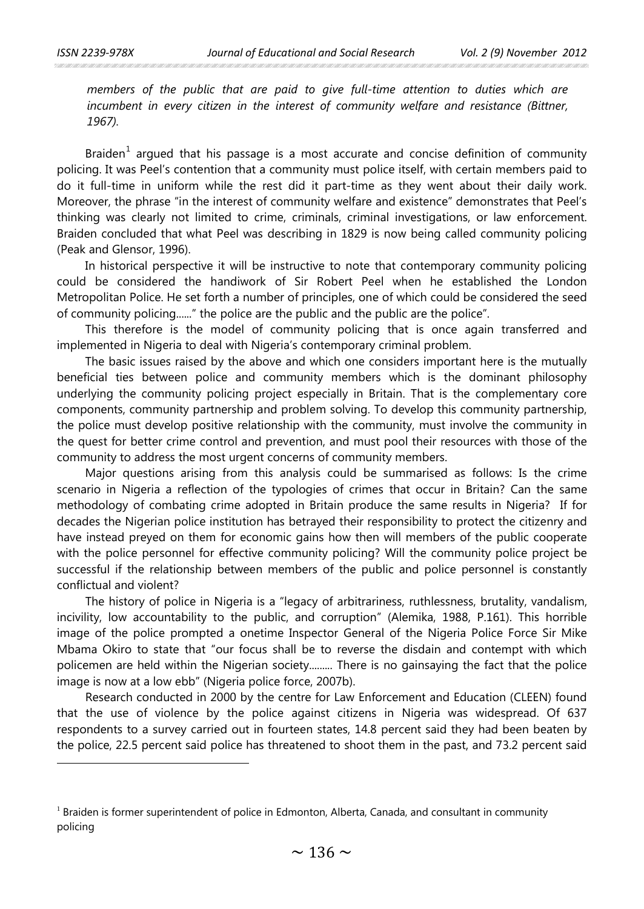$\overline{a}$ 

*members of the public that are paid to give full-time attention to duties which are incumbent in every citizen in the interest of community welfare and resistance (Bittner, 1967).*

Braiden $<sup>1</sup>$  $<sup>1</sup>$  $<sup>1</sup>$  argued that his passage is a most accurate and concise definition of community</sup> policing. It was Peel's contention that a community must police itself, with certain members paid to do it full-time in uniform while the rest did it part-time as they went about their daily work. Moreover, the phrase "in the interest of community welfare and existence" demonstrates that Peel's thinking was clearly not limited to crime, criminals, criminal investigations, or law enforcement. Braiden concluded that what Peel was describing in 1829 is now being called community policing (Peak and Glensor, 1996).

In historical perspective it will be instructive to note that contemporary community policing could be considered the handiwork of Sir Robert Peel when he established the London Metropolitan Police. He set forth a number of principles, one of which could be considered the seed of community policing......" the police are the public and the public are the police".

This therefore is the model of community policing that is once again transferred and implemented in Nigeria to deal with Nigeria's contemporary criminal problem.

The basic issues raised by the above and which one considers important here is the mutually beneficial ties between police and community members which is the dominant philosophy underlying the community policing project especially in Britain. That is the complementary core components, community partnership and problem solving. To develop this community partnership, the police must develop positive relationship with the community, must involve the community in the quest for better crime control and prevention, and must pool their resources with those of the community to address the most urgent concerns of community members.

Major questions arising from this analysis could be summarised as follows: Is the crime scenario in Nigeria a reflection of the typologies of crimes that occur in Britain? Can the same methodology of combating crime adopted in Britain produce the same results in Nigeria? If for decades the Nigerian police institution has betrayed their responsibility to protect the citizenry and have instead preyed on them for economic gains how then will members of the public cooperate with the police personnel for effective community policing? Will the community police project be successful if the relationship between members of the public and police personnel is constantly conflictual and violent?

The history of police in Nigeria is a "legacy of arbitrariness, ruthlessness, brutality, vandalism, incivility, low accountability to the public, and corruption" (Alemika, 1988, P.161). This horrible image of the police prompted a onetime Inspector General of the Nigeria Police Force Sir Mike Mbama Okiro to state that "our focus shall be to reverse the disdain and contempt with which policemen are held within the Nigerian society......... There is no gainsaying the fact that the police image is now at a low ebb" (Nigeria police force, 2007b).

Research conducted in 2000 by the centre for Law Enforcement and Education (CLEEN) found that the use of violence by the police against citizens in Nigeria was widespread. Of 637 respondents to a survey carried out in fourteen states, 14.8 percent said they had been beaten by the police, 22.5 percent said police has threatened to shoot them in the past, and 73.2 percent said

<span id="page-4-0"></span> $<sup>1</sup>$  Braiden is former superintendent of police in Edmonton, Alberta, Canada, and consultant in community</sup> policing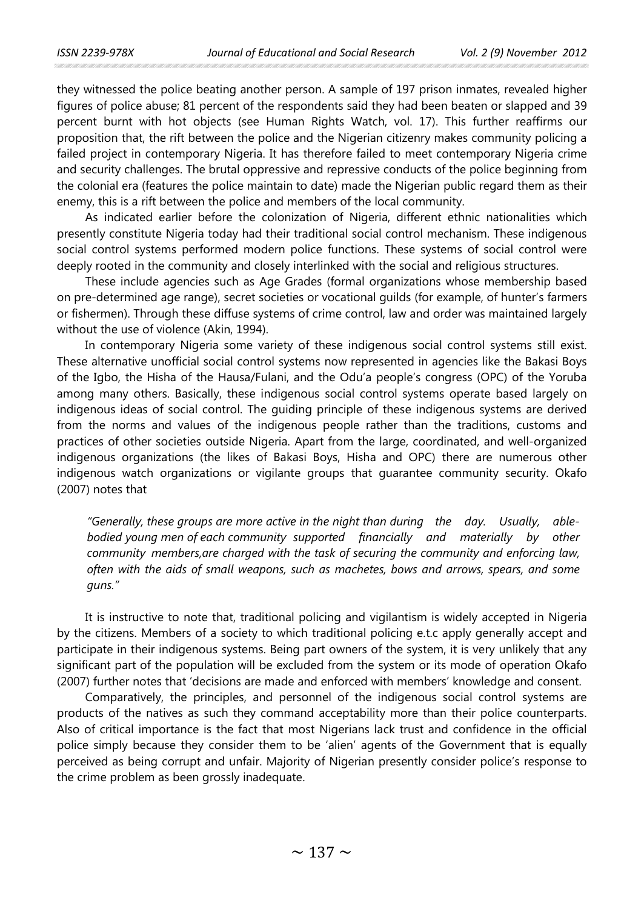they witnessed the police beating another person. A sample of 197 prison inmates, revealed higher figures of police abuse; 81 percent of the respondents said they had been beaten or slapped and 39 percent burnt with hot objects (see Human Rights Watch, vol. 17). This further reaffirms our proposition that, the rift between the police and the Nigerian citizenry makes community policing a failed project in contemporary Nigeria. It has therefore failed to meet contemporary Nigeria crime and security challenges. The brutal oppressive and repressive conducts of the police beginning from the colonial era (features the police maintain to date) made the Nigerian public regard them as their enemy, this is a rift between the police and members of the local community.

As indicated earlier before the colonization of Nigeria, different ethnic nationalities which presently constitute Nigeria today had their traditional social control mechanism. These indigenous social control systems performed modern police functions. These systems of social control were deeply rooted in the community and closely interlinked with the social and religious structures.

These include agencies such as Age Grades (formal organizations whose membership based on pre-determined age range), secret societies or vocational guilds (for example, of hunter's farmers or fishermen). Through these diffuse systems of crime control, law and order was maintained largely without the use of violence (Akin, 1994).

In contemporary Nigeria some variety of these indigenous social control systems still exist. These alternative unofficial social control systems now represented in agencies like the Bakasi Boys of the Igbo, the Hisha of the Hausa/Fulani, and the Odu'a people's congress (OPC) of the Yoruba among many others. Basically, these indigenous social control systems operate based largely on indigenous ideas of social control. The guiding principle of these indigenous systems are derived from the norms and values of the indigenous people rather than the traditions, customs and practices of other societies outside Nigeria. Apart from the large, coordinated, and well-organized indigenous organizations (the likes of Bakasi Boys, Hisha and OPC) there are numerous other indigenous watch organizations or vigilante groups that guarantee community security. Okafo (2007) notes that

*"Generally, these groups are more active in the night than during the day. Usually, ablebodied young men of each community supported financially and materially by other community members,are charged with the task of securing the community and enforcing law, often with the aids of small weapons, such as machetes, bows and arrows, spears, and some guns."* 

It is instructive to note that, traditional policing and vigilantism is widely accepted in Nigeria by the citizens. Members of a society to which traditional policing e.t.c apply generally accept and participate in their indigenous systems. Being part owners of the system, it is very unlikely that any significant part of the population will be excluded from the system or its mode of operation Okafo (2007) further notes that 'decisions are made and enforced with members' knowledge and consent.

Comparatively, the principles, and personnel of the indigenous social control systems are products of the natives as such they command acceptability more than their police counterparts. Also of critical importance is the fact that most Nigerians lack trust and confidence in the official police simply because they consider them to be 'alien' agents of the Government that is equally perceived as being corrupt and unfair. Majority of Nigerian presently consider police's response to the crime problem as been grossly inadequate.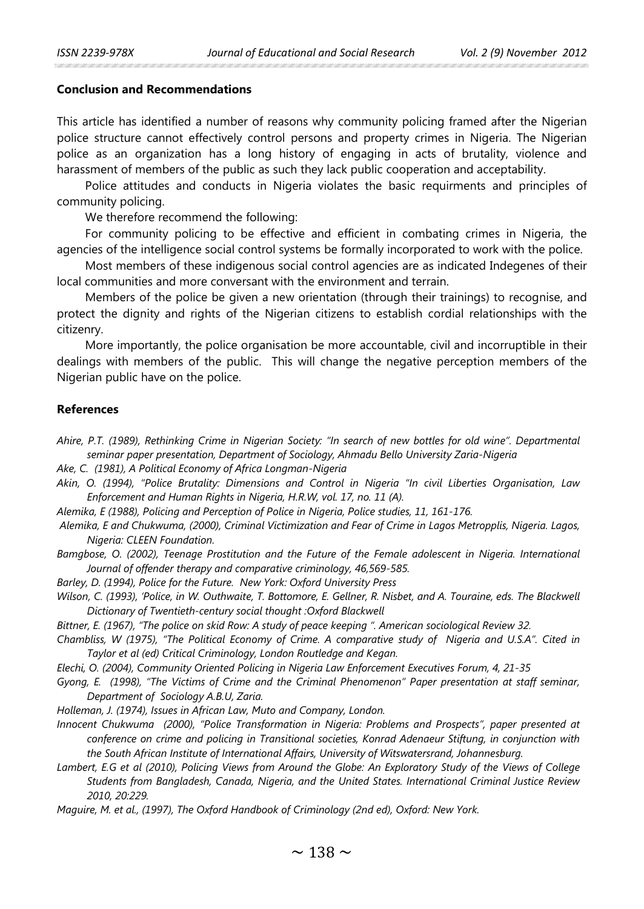# **Conclusion and Recommendations**

This article has identified a number of reasons why community policing framed after the Nigerian police structure cannot effectively control persons and property crimes in Nigeria. The Nigerian police as an organization has a long history of engaging in acts of brutality, violence and harassment of members of the public as such they lack public cooperation and acceptability.

Police attitudes and conducts in Nigeria violates the basic requirments and principles of community policing.

We therefore recommend the following:

For community policing to be effective and efficient in combating crimes in Nigeria, the agencies of the intelligence social control systems be formally incorporated to work with the police.

Most members of these indigenous social control agencies are as indicated Indegenes of their local communities and more conversant with the environment and terrain.

Members of the police be given a new orientation (through their trainings) to recognise, and protect the dignity and rights of the Nigerian citizens to establish cordial relationships with the citizenry.

More importantly, the police organisation be more accountable, civil and incorruptible in their dealings with members of the public. This will change the negative perception members of the Nigerian public have on the police.

## **References**

- *Ahire, P.T. (1989), Rethinking Crime in Nigerian Society: "In search of new bottles for old wine". Departmental seminar paper presentation, Department of Sociology, Ahmadu Bello University Zaria-Nigeria*
- *Ake, C. (1981), A Political Economy of Africa Longman-Nigeria*
- *Akin, O. (1994), "Police Brutality: Dimensions and Control in Nigeria "In civil Liberties Organisation, Law Enforcement and Human Rights in Nigeria, H.R.W, vol. 17, no. 11 (A).*
- *Alemika, E (1988), Policing and Perception of Police in Nigeria, Police studies, 11, 161-176.*
- *Alemika, E and Chukwuma, (2000), Criminal Victimization and Fear of Crime in Lagos Metropplis, Nigeria. Lagos, Nigeria: CLEEN Foundation.*
- *Bamgbose, O. (2002), Teenage Prostitution and the Future of the Female adolescent in Nigeria. International Journal of offender therapy and comparative criminology, 46,569-585.*
- *Barley, D. (1994), Police for the Future. New York: Oxford University Press*
- Wilson, C. (1993), 'Police, in W. Outhwaite, T. Bottomore, E. Gellner, R. Nisbet, and A. Touraine, eds. The Blackwell *Dictionary of Twentieth-century social thought :Oxford Blackwell*
- *Bittner, E. (1967), "The police on skid Row: A study of peace keeping ". American sociological Review 32.*

*Chambliss, W (1975), "The Political Economy of Crime. A comparative study of Nigeria and U.S.A". Cited in Taylor et al (ed) Critical Criminology, London Routledge and Kegan.*

*Elechi, O. (2004), Community Oriented Policing in Nigeria Law Enforcement Executives Forum, 4, 21-35*

- *Gyong, E. (1998), "The Victims of Crime and the Criminal Phenomenon" Paper presentation at staff seminar, Department of Sociology A.B.U, Zaria.*
- *Holleman, J. (1974), Issues in African Law, Muto and Company, London.*
- *Innocent Chukwuma (2000), "Police Transformation in Nigeria: Problems and Prospects", paper presented at conference on crime and policing in Transitional societies, Konrad Adenaeur Stiftung, in conjunction with the South African Institute of International Affairs, University of Witswatersrand, Johannesburg.*
- *Lambert, E.G et al (2010), Policing Views from Around the Globe: An Exploratory Study of the Views of College Students from Bangladesh, Canada, Nigeria, and the United States. International Criminal Justice Review 2010, 20:229.*
- *Maguire, M. et al., (1997), The Oxford Handbook of Criminology (2nd ed), Oxford: New York.*